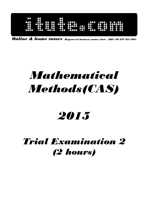| 00<br>8<br>Õ0<br>$\bullet\bullet$<br>$\bullet\bullet$<br>$\cdots$<br>$\cdots$<br><br><br>$\bullet$<br>$\bullet\bullet$<br>$\bullet\bullet\bullet\bullet$<br>$\bullet\bullet$<br><br>ω<br>$\bf{u}$<br>$\bullet \bullet \bullet \bullet \bullet$<br>$\bullet$<br>$\bullet\bullet\bullet\bullet\bullet\bullet$<br>88<br>$\bullet\bullet\bullet\bullet\bullet\bullet$<br>$\bullet\bullet$<br>$\bullet$<br>$\alpha$<br>$\mathbf{u}$<br>$\bullet\bullet\bullet$<br>TOO .<br>$\mathbf{C}$<br>$\bullet\bullet\bullet$<br>$\overline{\mathbf{a}}$<br>$\bullet\bullet$<br>$\bullet$<br>œ<br>$\bullet$<br>90<br>900<br>$\cdots$<br>$\bullet\bullet\bullet$<br>. .<br>. 0000 |
|------------------------------------------------------------------------------------------------------------------------------------------------------------------------------------------------------------------------------------------------------------------------------------------------------------------------------------------------------------------------------------------------------------------------------------------------------------------------------------------------------------------------------------------------------------------------------------------------------------------------------------------------------------------|
|------------------------------------------------------------------------------------------------------------------------------------------------------------------------------------------------------------------------------------------------------------------------------------------------------------------------------------------------------------------------------------------------------------------------------------------------------------------------------------------------------------------------------------------------------------------------------------------------------------------------------------------------------------------|

Online & home tutors Registered business name: itute ABN: 96 297 924 083

# Mathematical Methods(CAS)

## 2015

### Trial Examination 2 (2 hours)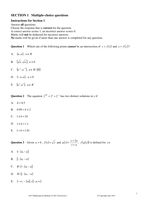#### **SECTION 1 Multiple-choice questions**

#### **Instructions for Section 1**

Answer **all** questions. Choose the response that is **correct** for the question. A correct answer scores 1, an incorrect answer scores 0. Marks will **not** be deducted for incorrect answers. **No** marks will be given if more than one answer is completed for any question.

**Question 1** Which one of the following points *cannot* be an intersection of  $y = f(x)$  and  $x = f(y)$ ?

- A.  $(a, a)$ ,  $a \in R$
- B.  $\left(\sqrt{a}, \sqrt{a}\right), a \ge 0$
- C.  $(a^{-1}, a^{-1}), a \in R \setminus \{0\}$
- D. (− *a*,*a*), *a* > 0
- E.  $(a^2, a^2)$ ,  $a \in R^-$

Question 2 The equation  $2^{\frac{x+b}{2}} = 2^x + 2^{-1}$  has two distinct solutions in *x* if

- A.  $b = 0.5$
- B.  $0.99 < b < 2$
- C.  $1 \le b < 10$
- D.  $1 \le b < 1.1$
- E.  $1 < b < 1.01$

**Question 3** Given  $a > 0$ ,  $f(x) = \sqrt{x}$  and  $g(x)$  $x + a$  $g(x) = \frac{x + 2a}{a}$ +  $=\frac{x+2a}{x+2a}$ ,  $f(g(x))$  is defined for  $x \in$ 

- A.  $(-2a,-a]$
- B.  $[-2a, -a]$
- C.  $R \ (−2a,−a]$
- D.  $R \setminus [-2a, -a]$
- E.  $(-\infty, -2a] \cup [-a, \infty)$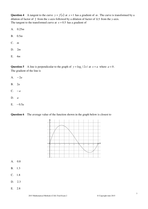**Question 4** A tangent to the curve  $y = f(x)$  at  $x = 1$  has a gradient of *m*. The curve is transformed by a dilation of factor of 2 from the *x*-axis followed by a dilation of factor of  $0.5$  from the *y*-axis. The tangent to the transformed curve at  $x = 0.5$  has a gradient of

- A.  $0.25m$
- B. 0.5*m*
- C. *m*
- D. 2*m*
- E. 4*m*

**Question 5** A line is perpendicular to the graph of  $y = log_e | 2x |$  at  $x = a$  where  $a < 0$ . The gradient of the line is

- A. − 2*a*
- B. 2*a*
- C.  $-a$
- D. *a*
- E.  $-0.5a$



**Question 6** The average value of the function shown in the graph below is closest to

- A. 0.8
- B. 1.3
- $C. 1.8$
- D. 2.3
- E. 2.8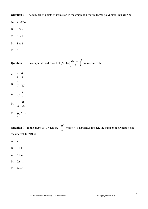**Question 7** The number of points of inflection in the graph of a fourth degree polynomial can *only* be

A.  $0, 1 \text{ or } 2$ 

- B. 0 or 2
- C. 0 or 1
- D. 1or 2
- E. 2

**Question 8** The amplitude and period of  $f(x) = \left(\frac{\sin(nx)}{2}\right)^2$ 2  $\frac{\sin(nx)}{2}$ J  $\left(\frac{\sin(nx)}{2}\right)$ l  $f(x) = \left(\frac{\sin(nx)}{2}\right)^2$  are respectively

- A. 8  $\frac{1}{2}$ , *n* π
- B. 4  $\frac{1}{4}$ , 2*n* π
- C. 2  $\frac{1}{2}$ , *n* π
- D. 2  $\frac{1}{2}$ , 2*n* π

E. 
$$
\frac{1}{2}, 2n\pi
$$

**Question 9** In the graph of  $y = \tan |nx - \frac{\pi}{2}|$ J  $\left(nx-\frac{\pi}{2}\right)$ l  $=$  tan $\int nx$  – 2  $y = \tan \left( nx - \frac{\pi}{2} \right)$  where *n* is a positive integer, the number of asymptotes in the interval  $(0,2\pi)$  is

A. *n*

- B. *n* +1
- $C.$   $n+2$
- D. 2*n* −1
- E.  $2n+1$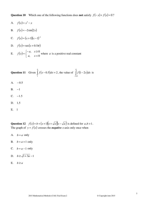**Question 10** Which one of the following functions does **not** satisfy  $f(-x) + f(x) = 0$ ?

- A.  $f(x)=x^3-x^4$
- B.  $f(x) = -2\sin(2x)$
- C.  $f(x) = (x+1)(x-1)^{-1}$
- D.  $f(x) = \sec(x + 0.5\pi)$
- E.  $f(x)$  $\overline{\mathfrak{l}}$ ∤  $\int$  $\prec$  $-a, x \ge$ =  $, \quad x < 0$  $, \quad x \geq 0$ *a x a x*  $f(x) = \begin{cases} x, & x = 0 \\ 0, & x \end{cases}$  where *a* is a positive real constant

**Question 11** Given 
$$
\int_{1}^{0} f(x-0.5)dx = 2
$$
, the value of  $\int_{-0.5}^{0} f(1-2x)dx$  is

- A.  $-0.5$
- B.  $-1$
- $C. -1.5$
- D. 1.5
- E. 1

**Question 12**  $f(x) = b + (x+1)(x+\sqrt{a})(x-\sqrt{a})$  is defined for  $a,b > 1$ . The graph of  $y = f(x)$  crosses the *negative x*-axis only once when

- A.  $b = a$  only
- B.  $b = a + 1$  only
- C.  $b = a 1$  only
- D.  $b \ge \sqrt{1+3a} 1$
- E.  $b \ge a$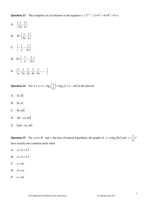Question 13 The complete set of solutions to the equation  $1 - 2^{ax+1} - 2 \times 4^{ax} + 4 \times 8^{ax} = 0$  is

- A.  $\left\{\frac{1}{2a}, \frac{1}{a}\right\}$  $\mathcal{I}$  $\overline{\mathfrak{l}}$ ∤  $\int$ *a a*  $\frac{1}{\cdot}$ 2 1 B.  $R \setminus \left\{ \frac{1}{2a}, \frac{1}{a} \right\}$  $\mathcal{L}$  $\overline{\mathfrak{l}}$ ∤  $\sqrt{ }$ *a a*  $R\setminus\left\{\frac{1}{2},\frac{1}{2}\right\}$ 2  $\sqrt{\frac{1}{2}}$
- C.  $\left\{-\frac{1}{a}, -\frac{1}{2a}\right\}$  $\mathcal{L}$  $\overline{\mathfrak{l}}$ ∤  $\left\{-\frac{1}{\cdot},-\right\}$ *a* 2*a*  $\frac{1}{2}, -\frac{1}{2}$
- D.  $R\setminus\left\{-\frac{1}{a},-\frac{1}{2a}\right\}$ 1  $\overline{\mathfrak{l}}$ ∤  $\left\{-\frac{1}{\cdot},-\right\}$ *a a R* 2  $\sqrt{-1}, -\frac{1}{2}$
- E.  $\left\{\frac{1}{a}, \frac{1}{2a}, \frac{1}{3a}, \frac{1}{4a}, \frac{1}{5a}, \dots \right\}$ 1  $\mathfrak{t}$ ∤  $\left\{\frac{1}{2},\frac{1}{2},\frac{1}{2},\frac{1}{4},\frac{1}{5},\ldots\right\}$ 5  $\frac{1}{5}$ 4  $\frac{1}{\cdot}$ 3  $\frac{1}{2}$ 2  $\frac{1}{\epsilon}$ ,  $\frac{1}{\epsilon}$ *a a a a a*

**Question 14** For  $b > a > 1$ ,  $\log_a\left(\frac{x}{b}\right) > \log_a\left(x+a-ab\right)$ *b*  $a\left(\frac{x}{b}\right) > \log_a\left(x+a\right)$  $\left(\frac{x}{1}\right)$ l  $\log_a\left(\frac{x}{x}\right) > \log_a\left(x+a-ab\right)$  in the interval

- A. (*a*, *b*]
- B. (*b*, *a*)
- C.  $(0, ab]$
- D.  $((b-a), ab]$
- E.  $((ab-a), ab)$

Question 15 For  $a, b \in R^+$  and *e* the base of natural logarithms, the graphs of  $y = a \log_e(bx)$  and  $y = \frac{1}{b}e^{\frac{x^2}{b}}$ *b*  $y = \frac{1}{1}$ have exactly one common point when

- A.  $a + b = 3.7$
- B.  $a + b = 3.4$
- C.  $a = be$
- D.  $b = ea$
- E.  $e = ab$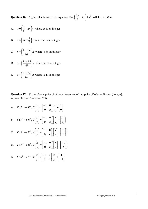**Question 16** A general solution to the equation  $2\sin \frac{3\pi}{2} - kx + \sqrt{3} = 0$ 2  $2\sin\left(\frac{3\pi}{2} - kx\right) + \sqrt{3} =$ J  $\left(\frac{3\pi}{2} - kx\right)$ l  $\left(\frac{3\pi}{2} - kx\right) + \sqrt{3} = 0$  for  $k \in R$  is

- A.  $x = \frac{1}{2} 2n \pi$ J  $\left(\frac{1}{2}-2n\right)$ l  $x = \left(\frac{1}{\epsilon} - 2n\right)$ 6  $\frac{1}{2}$  - 2*n*  $\pi$  where *n* is an integer
- B.  $x = | 2n \pm \frac{1}{6} | \pi$ J  $\left(2n\pm\frac{1}{2}\right)$ J  $=\left( 2n\pm\right)$ 6  $x = \left(2n \pm \frac{1}{2}\right)\pi$  where *n* is an integer
- C.  $x = \frac{1}{2} \frac{1}{\pi} \pi$ J  $\left(\frac{1-12n}{\cdots}\right)$ l  $=\left(\frac{1-}{2}\right)$ *k*  $x = \left(\frac{1-12n}{\epsilon}\right)$ 6  $\frac{1-12n}{\epsilon}$   $\bigg| \pi$  where *n* is an integer
- D.  $x = \frac{12h+1}{c} \pi$ J  $\left(\frac{12n\pm1}{\epsilon} \right)$ l  $=\left(\frac{12n\pm\sqrt{3}}{2}\right)$ *k*  $x = \left(\frac{12n}{2}\right)$ 6  $\frac{12n\pm1}{\epsilon}$   $\pi$  where *n* is an integer
- E.  $x = \frac{12\pi}{\epsilon} \pi$ J  $\left(\frac{1\pm 12n}{\epsilon}\right)$ l  $=\left(\frac{1\pm}{2}\right)$ *k*  $x = \frac{1 \pm 12n}{\sqrt{2}}$ 6  $\frac{1 \pm 12n}{\epsilon}$   $\pi$  where *n* is an integer

**Question 17** *T* transforms point *P* of coordinates  $(a, -1)$  to point *P*<sup>′</sup> of coordinates  $(1 - a, a)$ . A possible transformation *T* is

A.  $T: \mathbb{R}^2 \to \mathbb{R}^2$ ,  $T \begin{bmatrix} x \\ y \end{bmatrix} = \begin{bmatrix} 1 & 0 \\ 0 & z \end{bmatrix} \begin{bmatrix} x \\ y \end{bmatrix} + \begin{bmatrix} 1 \\ 0 \end{bmatrix}$ 」 1  $\mathbf{r}$ L Г  $|+$  $\rfloor$ 1  $\mathbf{r}$ L Г  $\overline{\phantom{a}}$  $\rfloor$ 1  $\mathsf{L}$ L −  $\vert$  = 」 1  $\mathbf{r}$ L Г 0 1 0 1 0 *y x y* | 0 *a x T* B.  $T: \mathbb{R}^2 \to \mathbb{R}^2$ ,  $T \begin{bmatrix} x \\ y \end{bmatrix} = \begin{bmatrix} -1 & 0 \\ 0 & a \end{bmatrix} \begin{bmatrix} x \\ y \end{bmatrix} + \begin{bmatrix} 1 \\ 0 \end{bmatrix}$ J  $\backslash$  $\overline{\phantom{a}}$ l ſ  $\overline{\phantom{a}}$  $\rfloor$ 1  $\mathbf{r}$ L Г  $|+$ J 1  $\mathbf{r}$ L Γ  $\overline{\phantom{a}}$  $\rfloor$ 1  $\mathbf{r}$ L −  $\vert$ J 1  $\mathbf{r}$ L Γ 0 1 0 1 0 *y x y* | 0 *a x T* C.  $T: \mathbb{R}^2 \to \mathbb{R}^2$ ,  $T\begin{bmatrix} x \\ y \end{bmatrix} = \begin{bmatrix} -1 & 0 \\ 0 & a \end{bmatrix} \begin{bmatrix} x \\ y \end{bmatrix} + \begin{bmatrix} -1 \\ 1 \end{bmatrix}$ J  $\backslash$  $\overline{\phantom{a}}$ L ſ  $\overline{\phantom{a}}$ J 1  $\mathbf{r}$ L −  $|+$  $\rfloor$ 1  $\mathbf{r}$ L Г  $\overline{\phantom{a}}$ J 1  $\mathbf{r}$ L −  $\vert =$  $\rfloor$ 1  $\mathbf{r}$ L Г 1 1 0 1 0 *y x y* | 0 *a x T* D.  $T: \mathbb{R}^2 \to \mathbb{R}^2$ ,  $T\begin{bmatrix} x \\ y \end{bmatrix} = \begin{bmatrix} -1 & 0 \\ 0 & a \end{bmatrix} \begin{bmatrix} x \\ y \end{bmatrix} + \begin{bmatrix} -1 \\ 2 \end{bmatrix}$ J  $\backslash$  $\overline{\phantom{a}}$ l ſ  $\overline{\phantom{a}}$  $\rfloor$ 1  $\mathsf{L}$ L −  $|+$ 」 1  $\mathbf{r}$ L Г  $\overline{\phantom{a}}$  $\rfloor$ 1  $\mathsf{L}$ L −  $\vert$  = 」 1  $\mathbf{r}$ L Г 2 1 0 1 0 *y x y* | 0 *a x T* E.  $T: \mathbb{R}^2 \to \mathbb{R}^2$ ,  $T \begin{bmatrix} x \\ y \end{bmatrix} = \begin{bmatrix} 1 & 0 \\ 0 & y \end{bmatrix} \begin{bmatrix} x \\ y \end{bmatrix} + \begin{bmatrix} 1 \\ 1 \end{bmatrix}$  $\rfloor$ ٦  $\mathbf{r}$ L Γ  $|$ + $|$  – 」 ⅂  $\mathbf{r}$ L Γ  $\overline{\phantom{a}}$ 」 1  $\mathbf{r}$ L −  $\vert$ 」 1  $\mathbf{r}$ L Γ 1 1 0 1 0 *y x y* | 0 *a x T*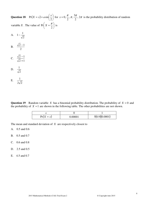**Question 18**  $Pr(X = x) = a \sin \left| \frac{x}{2} \right|$ J  $\left(\frac{x}{2}\right)$ l  $= x$ ) =  $a \sin$ 2  $Pr(X = x) = a \sin \left( \frac{x}{2} \right)$  for  $x = 0, \frac{\pi}{2}, \pi, \frac{3\pi}{2}, 2\pi$ 2  $,\pi,\frac{3}{2}$ 2  $x = 0, \frac{\pi}{2}, \pi, \frac{3\pi}{2}, 2\pi$  is the probability distribution of random variable X. The value of Pr $|X| = \frac{\pi}{2}$ J  $X = \frac{\pi}{2}$ l  $\left( X =\right)$ 2  $Pr[X = \frac{\pi}{2}]$  is

- A. 2  $1 - \frac{1}{\sqrt{2}}$
- B. 2  $2 - 1$
- C.  $2 + 1$  $2 - 1$ + −
- D. 2 1
- E.  $2\sqrt{2}$ 1

**Question 19** Random variable *X* has a binomial probability distribution. The probability of  $X = 0$  and the probability of  $X = 1$  are shown in the following table. The other probabilities are not shown.

| $Pr(X = x)$ | 0.00001 | 5(0.9)(0.0001) |
|-------------|---------|----------------|

The mean and standard deviation of *X* are respectively closest to

- A. 0.5 and 0.6
- B. 0.5 and 0.7
- C. 0.6 and 0.8
- D. 2.5 and 0.5
- E. 4.5 and 0.7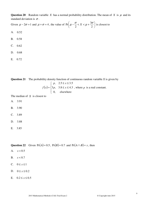**Question 20** Random variable *X* has a normal probability distribution. The mean of *X* is  $\mu$  and its standard deviation is  $\sigma$ .

Given 
$$
\mu - 2\sigma = 1
$$
 and  $\mu + \sigma = 4$ , the value of  $Pr\left(\mu - \frac{\sigma}{2} < X < \mu + \frac{3\sigma}{2}\right)$  is closest to

- A. 0.52
- B. 0.58
- $C. 0.62$
- D. 0.68
- E. 0.72

**Question 21** The probability density function of continuous random variable *X* is given by

$$
f(x) = \begin{cases} p, & 2.5 \le x \le 3.5 \\ 3p, & 3.8 \le x \le 4.3 \\ 0, & \text{elsewhere} \end{cases}
$$
, where *p* is a real constant.

The median of *X* is closest to

- A. 3.91
- B. 3.90
- C. 3.89
- D. 3.88
- E. 3.85

#### Question 22 Given Pr(*A*) = 0.5, Pr(*B*) = 0.7 and Pr(*A*∩ *B*) = *x*, then

- A.  $x < 0.5$
- B.  $x < 0.7$
- C.  $0 \leq x \leq 1$
- D.  $0 \le x \le 0.2$
- E.  $0.2 \le x \le 0.5$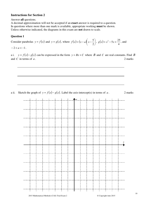#### **Instructions for Section 2**

Answer **all** questions.

A decimal approximation will not be accepted if an **exact** answer is required to a question. In questions where more than one mark is available, appropriate working **must** be shown. Unless otherwise indicated, the diagrams in this exam are **not** drawn to scale.

#### **Question 1**

Consider parabolas  $y = f(x)$  and  $y = g(x)$ , where  $f(x) = (x - a)(x - \frac{b}{a})$ J  $\left(x-\frac{5}{2}\right)$ l  $=(x - a)\nvert x -$ 2  $f(x) = (x - a)(x - \frac{5}{2}), g(x)$ 4  $g(x) = x^2 - 5x + \frac{25}{4}$ , and

 $-2 < a < -1$ .

a i. *y* = *f*(*x*)− *g*(*x*) can be expressed in the form *y* = *Bx* + *C* where *B* and *C* are real constants. Find *B* and *C* in terms of *a*. 2 marks

a ii. Sketch the graph of  $y = f(x) - g(x)$ . Label the axis-intercept(s) in terms of *a*. 2 marks

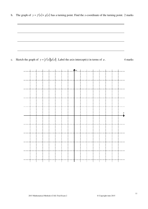b. The graph of  $y = f(x) + g(x)$  has a turning point. Find the *x*-coordinate of the turning point. 2 marks



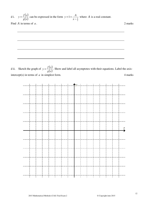d i. 
$$
y = \frac{f(x)}{g(x)}
$$
 can be expressed in the form  $y = 1 + \frac{A}{x - \frac{5}{2}}$  where *A* is a real constant.  
Find *A* in terms of *a*.

d ii. Sketch the graph of  $y = \frac{f(x)}{f(x)}$  $\overline{g(x)}$  $y = \frac{f(x)}{f(x)}$ . Show and label all asymptotes with their equations. Label the axisintercept(s) in terms of  $a$  in simplest form.  $4$  marks

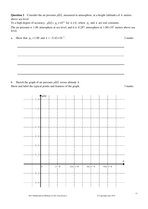**Question 2** Consider the air pressure  $p(h)$ , measured in atmosphere, at a height (altitude) of *h* metres above sea level.

To a high degree of accuracy,  $p(h) = p_0 \times 10^{kh}$  for  $h \ge 0$ , where  $p_0$  and  $k$  are real constants.

The air pressure is 1.00 atmosphere at sea level, and it is 0.287 atmosphere at  $1.00 \times 10^4$  metres above sea level.

a. Show that  $p_0 = 1.00$  and  $k = -5.42 \times 10^{-5}$ . 2 marks b. Sketch the graph of air pressure  $p(h)$  versus altitude  $h$ .

Show and label the typical points and features of the graph. 3 marks

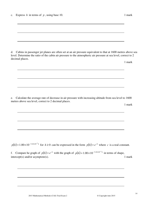|  | c. Express $h$ in terms of $p$ , using base 10. |  | mark |
|--|-------------------------------------------------|--|------|
|--|-------------------------------------------------|--|------|

d. Cabins in passenger jet planes are often set at an air pressure equivalent to that at 1600 metres above sea level. Determine the ratio of the cabin air pressure to the atmospheric air pressure at sea level, correct to 2 decimal places.

1 mark

e. Calculate the average rate of decrease in air pressure with increasing altitude from sea level to 1600 metres above sea level, correct to 2 decimal places.

1 mark

 $p(h) = 1.00 \times 10^{-5.42 \times 10^{-5} h}$  for  $h \ge 0$  can be expressed in the form  $p(h) = e^{ch}$  where *c* is a real constant.

f. Compare he graph of  $p(h) = e^{ch}$  with the graph of  $p(h) = 1.00 \times 10^{-5.42 \times 10^{-5} h}$  in terms of shape,  $intercept(s)$  and/or asymptote(s). 1 mark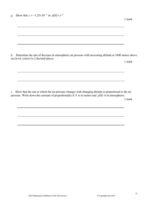g. Show that  $c = -1.25 \times 10^{-4}$  in  $p(h) = e^{ch}$ .

h. Determine the rate of decrease in atmospheric air pressure with increasing altitude at 1600 metres above sea level, correct to 2 decimal places.

1 mark

1 mark

i. Show that the rate at which the air pressure changes with changing altitude is proportional to the air pressure. Write down the constant of proportionality if *h* is in metres and *p*(*h*) is in atmospheres.

1 mark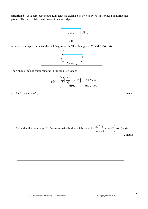**Question 3** A square-base rectangular tank measuring 3 m by 3 m by  $\sqrt{3}$  m is placed on horizontal ground. The tank is filled with water to its top edges.



Water starts to spill out when the tank begins to tilt. The tilt angle is  $\theta^{\circ}$  and  $0 \le \theta < 90$ .



The volume  $(m<sup>3</sup>)$  of water remains in the tank is given by

$$
V(\theta) = \begin{cases} \frac{27}{2} \left( \frac{2}{\sqrt{3}} - \tan \theta^{\circ} \right), & 0 \le \theta < \alpha \\ f(\theta), & \alpha \le \theta < 90 \end{cases}
$$

a. Find the value of  $\alpha$ . 1 mark

b. Show that the volume (m<sup>3</sup>) of water remains in the tank is given by  $\frac{27}{2}$   $\frac{2}{\sqrt{2}}$  -tan  $\theta^{\circ}$ J  $\left(\frac{2}{\sqrt{2}} - \tan \theta^{\circ}\right)$ l ſ  $-$  tan  $\theta^{\circ}$ 3 2 2  $\frac{27}{2} \left( \frac{2}{\sqrt{2}} - \tan \theta^{\circ} \right)$  for  $0 \le \theta < \alpha$ . 3 marks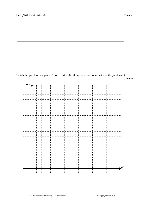

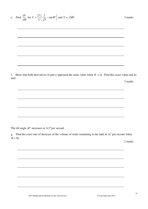e. Find 
$$
\frac{dV}{d\theta}
$$
 for  $V = \frac{27}{2} \left( \frac{2}{\sqrt{3}} - \tan \theta^{\circ} \right)$  and  $V = f(\theta)$ .

f. Show that both derivatives in part e approach the same value when  $\theta \to \alpha$ . Find this exact value and its unit. 2 marks

The tilt angle  $\theta$ <sup>o</sup> increases at 0.2<sup>o</sup> per second.

g. Find the exact rate of decrease of the volume of water remaining in the tank in  $m<sup>3</sup>$  per second when  $\theta = 30$ .

2 marks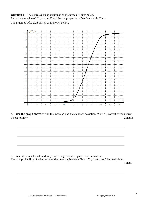**Question 4** The scores *X* on an examination are normally distributed. Let *x* be the value of *X*, and  $p(X \le x)$  be the proportion of students with  $X \le x$ . The graph of  $p(X \le x)$  versus *x* is shown below.



a. **Use the graph above** to find the mean  $\mu$  and the standard deviation  $\sigma$  of X, correct to the nearest whole number. 2 marks 2 marks 2 marks 2 marks 2 marks 2 marks 2 marks 2 marks 2 marks 2 marks 2 marks 2 marks 2 marks 2 marks 2 marks 2 marks 2 marks 2 marks 2 marks 2 marks 2 marks 2 marks 2 marks 2 marks 2 marks 2 marks

b. A student is selected randomly from the group attempted the examination. Find the probability of selecting a student scoring between 60 and 70, correct to 2 decimal places.

1 mark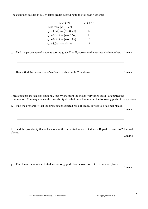The examiner decides to assign letter grades according to the following scheme:

| <b>SCORES</b>                              | <b>GRADE</b>                |
|--------------------------------------------|-----------------------------|
| Less than $(\mu - 1.5\sigma)$              | E                           |
| $(\mu - 1.5\sigma)$ to $(\mu - 0.5\sigma)$ | D                           |
| $(\mu - 0.5\sigma)$ to $(\mu + 0.5\sigma)$ | $\mathcal{C}_{\mathcal{C}}$ |
| $(\mu + 0.5\sigma)$ to $(\mu + 1.5\sigma)$ | B                           |
| $(\mu + 1.5\sigma)$ and above              |                             |

c. Find the percentage of students scoring grade D or E, correct to the nearest whole number. 1 mark

d. Hence find the percentage of students scoring grade  $C$  or above. 1 mark

Three students are selected randomly one by one from the group (very large group) attempted the examination. You may assume the probability distribution is binomial in the following parts of the question.

e. Find the probability that the first student selected has a B grade, correct to 2 decimal places.

1 mark

f. Find the probability that at least one of the three students selected has a B grade, correct to 2 decimal places.

2 marks

g. Find the mean number of students scoring grade B or above, correct to 2 decimal places.

1 mark